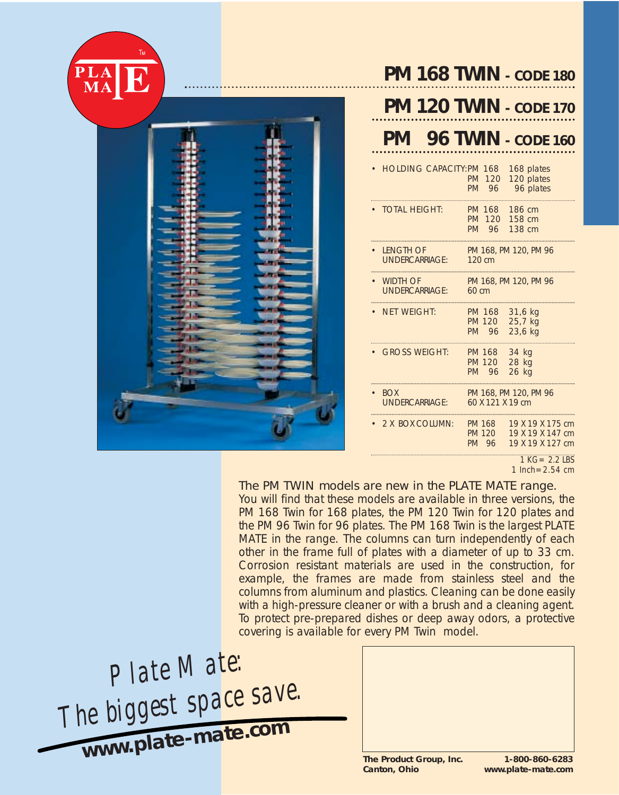



# **PM 168 TWIN** *- CODE 180*

|                                           |                                         | 20 TWIN - CODE 170                                       |
|-------------------------------------------|-----------------------------------------|----------------------------------------------------------|
| <b>PM</b> 96 TWIN - CODE 160              |                                         |                                                          |
| <b>HOLDING CAPACITY:PM 168</b>            | <b>PM</b><br>120<br><b>PM</b><br>96     | 168 plates<br>120 plates<br>96 plates                    |
| <b>TOTAL HEIGHT:</b>                      | PM 168<br>PM 120<br>PM 96               | 186 cm<br>158 cm<br>138 cm                               |
| <b>LENGTH OF</b><br><b>UNDERCARRIAGE:</b> | 120 cm                                  | PM 168, PM 120, PM 96                                    |
| • WIDTH OF<br><b>UNDERCARRIAGE:</b>       | $60 \text{ cm}$                         | PM 168, PM 120, PM 96                                    |
| NFT WEIGHT:                               | <b>PM 168</b><br><b>PM 120</b><br>PM 96 | 31,6 kg<br>25,7 kg<br>23,6 kg                            |
| <b>GROSS WEIGHT:</b>                      | PM 168<br><b>PM 120</b><br>PM 96        | 34 kg<br>28 kg<br>26 kg                                  |
| <b>BOX</b><br><b>UNDERCARRIAGE:</b>       | 60 X 121 X 19 cm                        | PM 168, PM 120, PM 96                                    |
| 2 X BOX COLUMN:                           | <b>PM 168</b><br><b>PM 120</b><br>PM 96 | 19 X 19 X 175 cm<br>19 X 19 X 147 cm<br>19 X 19 X 127 cm |

*1 KG= 2.2 LBS 1 Inch=2.54 cm*

### The PM TWIN models are new in the PLATE MATE range.

You will find that these models are available in three versions, the PM 168 Twin for 168 plates, the PM 120 Twin for 120 plates and the PM 96 Twin for 96 plates. The PM 168 Twin is the largest PLATE MATE in the range. The columns can turn independently of each other in the frame full of plates with a diameter of up to 33 cm. Corrosion resistant materials are used in the construction, for example, the frames are made from stainless steel and the columns from aluminum and plastics. Cleaning can be done easily with a high-pressure cleaner or with a brush and a cleaning agent. To protect pre-prepared dishes or deep away odors, a protective covering is available for every PM Twin model.

*Plate Mate: The biggest space save.* **www.plate-mate.co<sup>m</sup>**